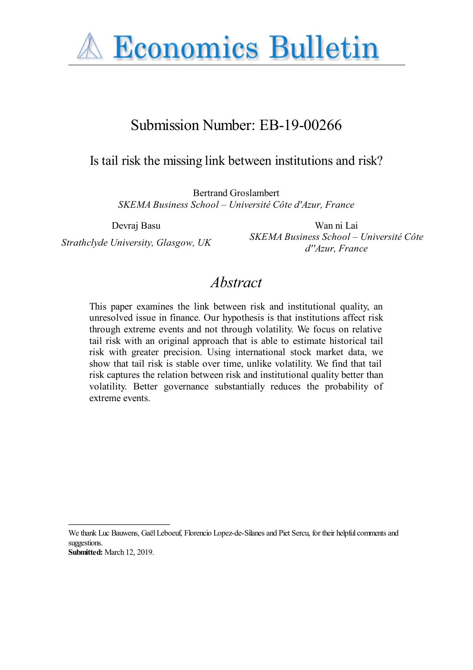

# Submission Number: EB-19-00266

## Is tail risk the missing link between institutions and risk?

Bertrand Groslambert *SKEMA Business School – Université Côte d'Azur, France*

Devraj Basu Wan ni Lai *Strathclyde University, Glasgow, UK SKEMA Business School – Université Côte d''Azur, France*

## *Abstract*

This paper examines the link between risk and institutional quality, an unresolved issue in finance. Our hypothesis is that institutions affect risk through extreme events and not through volatility. We focus on relative tail risk with an original approach that is able to estimate historical tail risk with greater precision. Using international stock market data, we show that tail risk is stable over time, unlike volatility. We find that tail risk captures the relation between risk and institutional quality better than volatility. Better governance substantially reduces the probability of extreme events.

We thank Luc Bauwens, Gaël Leboeuf, Florencio Lopez-de-Silanes and Piet Sercu, for their helpful comments and suggestions. **Submitted:** March 12, 2019.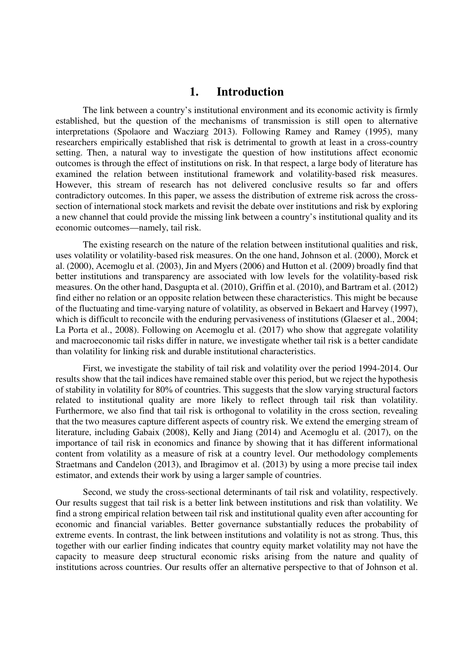### **1. Introduction**

The link between a country's institutional environment and its economic activity is firmly established, but the question of the mechanisms of transmission is still open to alternative interpretations (Spolaore and Wacziarg 2013). Following Ramey and Ramey (1995), many researchers empirically established that risk is detrimental to growth at least in a cross-country setting. Then, a natural way to investigate the question of how institutions affect economic outcomes is through the effect of institutions on risk. In that respect, a large body of literature has examined the relation between institutional framework and volatility-based risk measures. However, this stream of research has not delivered conclusive results so far and offers contradictory outcomes. In this paper, we assess the distribution of extreme risk across the crosssection of international stock markets and revisit the debate over institutions and risk by exploring a new channel that could provide the missing link between a country's institutional quality and its economic outcomes—namely, tail risk.

The existing research on the nature of the relation between institutional qualities and risk, uses volatility or volatility-based risk measures. On the one hand, Johnson et al. (2000), Morck et al. (2000), Acemoglu et al. (2003), Jin and Myers (2006) and Hutton et al. (2009) broadly find that better institutions and transparency are associated with low levels for the volatility-based risk measures. On the other hand, Dasgupta et al. (2010), Griffin et al. (2010), and Bartram et al. (2012) find either no relation or an opposite relation between these characteristics. This might be because of the fluctuating and time-varying nature of volatility, as observed in Bekaert and Harvey (1997), which is difficult to reconcile with the enduring pervasiveness of institutions (Glaeser et al., 2004; La Porta et al., 2008). Following on Acemoglu et al. (2017) who show that aggregate volatility and macroeconomic tail risks differ in nature, we investigate whether tail risk is a better candidate than volatility for linking risk and durable institutional characteristics.

First, we investigate the stability of tail risk and volatility over the period 1994-2014. Our results show that the tail indices have remained stable over this period, but we reject the hypothesis of stability in volatility for 80% of countries. This suggests that the slow varying structural factors related to institutional quality are more likely to reflect through tail risk than volatility. Furthermore, we also find that tail risk is orthogonal to volatility in the cross section, revealing that the two measures capture different aspects of country risk. We extend the emerging stream of literature, including Gabaix (2008), Kelly and Jiang (2014) and Acemoglu et al. (2017), on the importance of tail risk in economics and finance by showing that it has different informational content from volatility as a measure of risk at a country level. Our methodology complements Straetmans and Candelon (2013), and Ibragimov et al. (2013) by using a more precise tail index estimator, and extends their work by using a larger sample of countries.

Second, we study the cross-sectional determinants of tail risk and volatility, respectively. Our results suggest that tail risk is a better link between institutions and risk than volatility. We find a strong empirical relation between tail risk and institutional quality even after accounting for economic and financial variables. Better governance substantially reduces the probability of extreme events. In contrast, the link between institutions and volatility is not as strong. Thus, this together with our earlier finding indicates that country equity market volatility may not have the capacity to measure deep structural economic risks arising from the nature and quality of institutions across countries. Our results offer an alternative perspective to that of Johnson et al.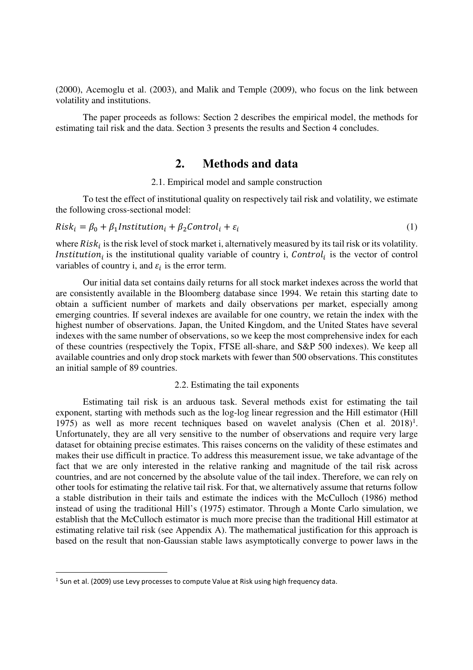(2000), Acemoglu et al. (2003), and Malik and Temple (2009), who focus on the link between volatility and institutions.

The paper proceeds as follows: Section 2 describes the empirical model, the methods for estimating tail risk and the data. Section 3 presents the results and Section 4 concludes.

#### **2. Methods and data**

#### 2.1. Empirical model and sample construction

To test the effect of institutional quality on respectively tail risk and volatility, we estimate the following cross-sectional model:

$$
Riski = \beta0 + \beta1 Institutioni + \beta2 Controli + \varepsiloni
$$
 (1)

where  $Risk_i$  is the risk level of stock market i, alternatively measured by its tail risk or its volatility. *Institution<sub>i</sub>* is the institutional quality variable of country i, *Control<sub>i</sub>* is the vector of control variables of country i, and  $\varepsilon_i$  is the error term.

Our initial data set contains daily returns for all stock market indexes across the world that are consistently available in the Bloomberg database since 1994. We retain this starting date to obtain a sufficient number of markets and daily observations per market, especially among emerging countries. If several indexes are available for one country, we retain the index with the highest number of observations. Japan, the United Kingdom, and the United States have several indexes with the same number of observations, so we keep the most comprehensive index for each of these countries (respectively the Topix, FTSE all-share, and S&P 500 indexes). We keep all available countries and only drop stock markets with fewer than 500 observations. This constitutes an initial sample of 89 countries.

#### 2.2. Estimating the tail exponents

Estimating tail risk is an arduous task. Several methods exist for estimating the tail exponent, starting with methods such as the log-log linear regression and the Hill estimator (Hill 1975) as well as more recent techniques based on wavelet analysis (Chen et al.  $2018$ )<sup>1</sup>. Unfortunately, they are all very sensitive to the number of observations and require very large dataset for obtaining precise estimates. This raises concerns on the validity of these estimates and makes their use difficult in practice. To address this measurement issue, we take advantage of the fact that we are only interested in the relative ranking and magnitude of the tail risk across countries, and are not concerned by the absolute value of the tail index. Therefore, we can rely on other tools for estimating the relative tail risk. For that, we alternatively assume that returns follow a stable distribution in their tails and estimate the indices with the McCulloch (1986) method instead of using the traditional Hill's (1975) estimator. Through a Monte Carlo simulation, we establish that the McCulloch estimator is much more precise than the traditional Hill estimator at estimating relative tail risk (see Appendix A). The mathematical justification for this approach is based on the result that non-Gaussian stable laws asymptotically converge to power laws in the

<u>.</u>

 $<sup>1</sup>$  Sun et al. (2009) use Levy processes to compute Value at Risk using high frequency data.</sup>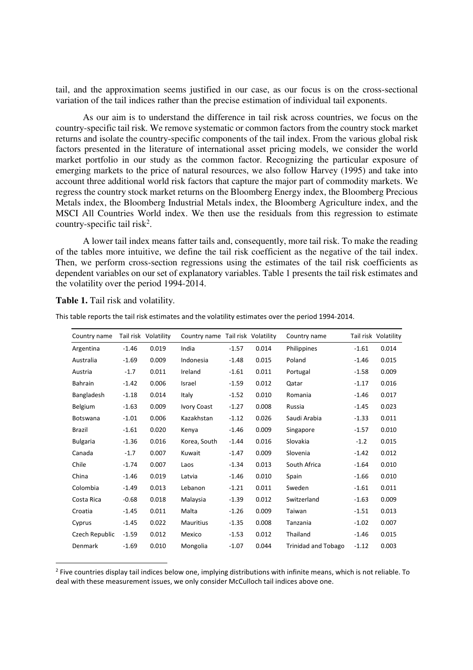tail, and the approximation seems justified in our case, as our focus is on the cross-sectional variation of the tail indices rather than the precise estimation of individual tail exponents.

As our aim is to understand the difference in tail risk across countries, we focus on the country-specific tail risk. We remove systematic or common factors from the country stock market returns and isolate the country-specific components of the tail index. From the various global risk factors presented in the literature of international asset pricing models, we consider the world market portfolio in our study as the common factor. Recognizing the particular exposure of emerging markets to the price of natural resources, we also follow Harvey (1995) and take into account three additional world risk factors that capture the major part of commodity markets. We regress the country stock market returns on the Bloomberg Energy index, the Bloomberg Precious Metals index, the Bloomberg Industrial Metals index, the Bloomberg Agriculture index, and the MSCI All Countries World index. We then use the residuals from this regression to estimate country-specific tail risk<sup>2</sup>.

A lower tail index means fatter tails and, consequently, more tail risk. To make the reading of the tables more intuitive, we define the tail risk coefficient as the negative of the tail index. Then, we perform cross-section regressions using the estimates of the tail risk coefficients as dependent variables on our set of explanatory variables. Table 1 presents the tail risk estimates and the volatility over the period 1994-2014.

| Country name    |         | Tail risk Volatility | Country name Tail risk Volatility |         |       | Country name               |         | Tail risk Volatility |
|-----------------|---------|----------------------|-----------------------------------|---------|-------|----------------------------|---------|----------------------|
| Argentina       | $-1.46$ | 0.019                | India                             | $-1.57$ | 0.014 | Philippines                | $-1.61$ | 0.014                |
| Australia       | $-1.69$ | 0.009                | Indonesia                         | $-1.48$ | 0.015 | Poland                     | $-1.46$ | 0.015                |
| Austria         | $-1.7$  | 0.011                | Ireland                           | $-1.61$ | 0.011 | Portugal                   | $-1.58$ | 0.009                |
| <b>Bahrain</b>  | $-1.42$ | 0.006                | Israel                            | $-1.59$ | 0.012 | Qatar                      | $-1.17$ | 0.016                |
| Bangladesh      | $-1.18$ | 0.014                | Italy                             | $-1.52$ | 0.010 | Romania                    | $-1.46$ | 0.017                |
| Belgium         | $-1.63$ | 0.009                | Ivory Coast                       | $-1.27$ | 0.008 | Russia                     | $-1.45$ | 0.023                |
| <b>Botswana</b> | $-1.01$ | 0.006                | Kazakhstan                        | $-1.12$ | 0.026 | Saudi Arabia               | $-1.33$ | 0.011                |
| <b>Brazil</b>   | $-1.61$ | 0.020                | Kenya                             | $-1.46$ | 0.009 | Singapore                  | $-1.57$ | 0.010                |
| <b>Bulgaria</b> | $-1.36$ | 0.016                | Korea, South                      | $-1.44$ | 0.016 | Slovakia                   | $-1.2$  | 0.015                |
| Canada          | $-1.7$  | 0.007                | Kuwait                            | $-1.47$ | 0.009 | Slovenia                   | $-1.42$ | 0.012                |
| Chile           | $-1.74$ | 0.007                | Laos                              | $-1.34$ | 0.013 | South Africa               | $-1.64$ | 0.010                |
| China           | $-1.46$ | 0.019                | Latvia                            | $-1.46$ | 0.010 | Spain                      | $-1.66$ | 0.010                |
| Colombia        | $-1.49$ | 0.013                | Lebanon                           | $-1.21$ | 0.011 | Sweden                     | $-1.61$ | 0.011                |
| Costa Rica      | $-0.68$ | 0.018                | Malaysia                          | $-1.39$ | 0.012 | Switzerland                | $-1.63$ | 0.009                |
| Croatia         | $-1.45$ | 0.011                | Malta                             | $-1.26$ | 0.009 | Taiwan                     | $-1.51$ | 0.013                |
| Cyprus          | $-1.45$ | 0.022                | <b>Mauritius</b>                  | $-1.35$ | 0.008 | Tanzania                   | $-1.02$ | 0.007                |
| Czech Republic  | $-1.59$ | 0.012                | Mexico                            | $-1.53$ | 0.012 | Thailand                   | $-1.46$ | 0.015                |
| Denmark         | $-1.69$ | 0.010                | Mongolia                          | $-1.07$ | 0.044 | <b>Trinidad and Tobago</b> | $-1.12$ | 0.003                |

This table reports the tail risk estimates and the volatility estimates over the period 1994-2014.

**Table 1.** Tail risk and volatility.

.<br>-

<sup>2</sup> Five countries display tail indices below one, implying distributions with infinite means, which is not reliable. To deal with these measurement issues, we only consider McCulloch tail indices above one.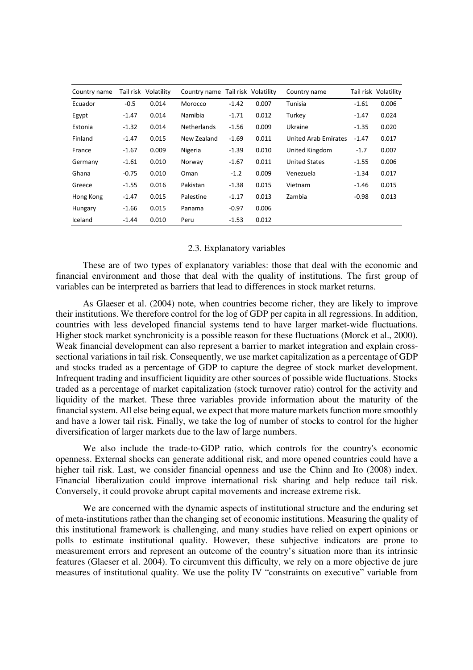| Country name |         | Tail risk Volatility | Country name Tail risk Volatility |         |       | Country name         |         | Tail risk Volatility |
|--------------|---------|----------------------|-----------------------------------|---------|-------|----------------------|---------|----------------------|
| Ecuador      | $-0.5$  | 0.014                | Morocco                           | $-1.42$ | 0.007 | Tunisia              | $-1.61$ | 0.006                |
| Egypt        | $-1.47$ | 0.014                | Namibia                           | $-1.71$ | 0.012 | Turkey               | $-1.47$ | 0.024                |
| Estonia      | $-1.32$ | 0.014                | <b>Netherlands</b>                | $-1.56$ | 0.009 | Ukraine              | $-1.35$ | 0.020                |
| Finland      | $-1.47$ | 0.015                | New Zealand                       | $-1.69$ | 0.011 | United Arab Emirates | $-1.47$ | 0.017                |
| France       | -1.67   | 0.009                | Nigeria                           | $-1.39$ | 0.010 | United Kingdom       | $-1.7$  | 0.007                |
| Germany      | $-1.61$ | 0.010                | Norway                            | $-1.67$ | 0.011 | <b>United States</b> | $-1.55$ | 0.006                |
| Ghana        | -0.75   | 0.010                | Oman                              | $-1.2$  | 0.009 | Venezuela            | $-1.34$ | 0.017                |
| Greece       | $-1.55$ | 0.016                | Pakistan                          | $-1.38$ | 0.015 | Vietnam              | $-1.46$ | 0.015                |
| Hong Kong    | $-1.47$ | 0.015                | Palestine                         | $-1.17$ | 0.013 | Zambia               | $-0.98$ | 0.013                |
| Hungary      | $-1.66$ | 0.015                | Panama                            | $-0.97$ | 0.006 |                      |         |                      |
| Iceland      | $-1.44$ | 0.010                | Peru                              | $-1.53$ | 0.012 |                      |         |                      |

#### 2.3. Explanatory variables

These are of two types of explanatory variables: those that deal with the economic and financial environment and those that deal with the quality of institutions. The first group of variables can be interpreted as barriers that lead to differences in stock market returns.

As Glaeser et al. (2004) note, when countries become richer, they are likely to improve their institutions. We therefore control for the log of GDP per capita in all regressions. In addition, countries with less developed financial systems tend to have larger market-wide fluctuations. Higher stock market synchronicity is a possible reason for these fluctuations (Morck et al., 2000). Weak financial development can also represent a barrier to market integration and explain crosssectional variations in tail risk. Consequently, we use market capitalization as a percentage of GDP and stocks traded as a percentage of GDP to capture the degree of stock market development. Infrequent trading and insufficient liquidity are other sources of possible wide fluctuations. Stocks traded as a percentage of market capitalization (stock turnover ratio) control for the activity and liquidity of the market. These three variables provide information about the maturity of the financial system. All else being equal, we expect that more mature markets function more smoothly and have a lower tail risk. Finally, we take the log of number of stocks to control for the higher diversification of larger markets due to the law of large numbers.

We also include the trade-to-GDP ratio, which controls for the country's economic openness. External shocks can generate additional risk, and more opened countries could have a higher tail risk. Last, we consider financial openness and use the Chinn and Ito (2008) index. Financial liberalization could improve international risk sharing and help reduce tail risk. Conversely, it could provoke abrupt capital movements and increase extreme risk.

We are concerned with the dynamic aspects of institutional structure and the enduring set of meta-institutions rather than the changing set of economic institutions. Measuring the quality of this institutional framework is challenging, and many studies have relied on expert opinions or polls to estimate institutional quality. However, these subjective indicators are prone to measurement errors and represent an outcome of the country's situation more than its intrinsic features (Glaeser et al. 2004). To circumvent this difficulty, we rely on a more objective de jure measures of institutional quality. We use the polity IV "constraints on executive" variable from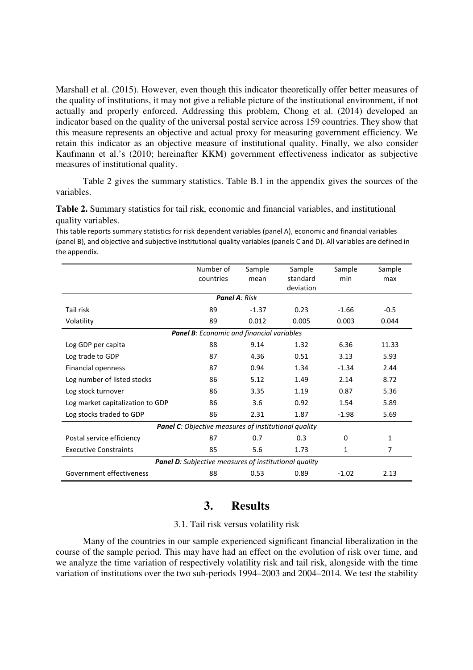Marshall et al. (2015). However, even though this indicator theoretically offer better measures of the quality of institutions, it may not give a reliable picture of the institutional environment, if not actually and properly enforced. Addressing this problem, Chong et al. (2014) developed an indicator based on the quality of the universal postal service across 159 countries. They show that this measure represents an objective and actual proxy for measuring government efficiency. We retain this indicator as an objective measure of institutional quality. Finally, we also consider Kaufmann et al.'s (2010; hereinafter KKM) government effectiveness indicator as subjective measures of institutional quality.

Table 2 gives the summary statistics. Table B.1 in the appendix gives the sources of the variables.

**Table 2.** Summary statistics for tail risk, economic and financial variables, and institutional quality variables.

This table reports summary statistics for risk dependent variables (panel A), economic and financial variables (panel B), and objective and subjective institutional quality variables (panels C and D). All variables are defined in the appendix.

|                                                              | Number of                                 | Sample  | Sample    | Sample      | Sample |  |  |  |  |
|--------------------------------------------------------------|-------------------------------------------|---------|-----------|-------------|--------|--|--|--|--|
|                                                              | countries                                 | mean    | standard  | min         | max    |  |  |  |  |
|                                                              |                                           |         | deviation |             |        |  |  |  |  |
|                                                              | <b>Panel A: Risk</b>                      |         |           |             |        |  |  |  |  |
| Tail risk                                                    | 89                                        | $-1.37$ | 0.23      | $-1.66$     | $-0.5$ |  |  |  |  |
| Volatility                                                   | 89                                        | 0.012   | 0.005     | 0.003       | 0.044  |  |  |  |  |
|                                                              | Panel B: Economic and financial variables |         |           |             |        |  |  |  |  |
| Log GDP per capita                                           | 88                                        | 9.14    | 1.32      | 6.36        | 11.33  |  |  |  |  |
| Log trade to GDP                                             | 87                                        | 4.36    | 0.51      | 3.13        | 5.93   |  |  |  |  |
| Financial openness                                           | 87                                        | 0.94    | 1.34      | $-1.34$     | 2.44   |  |  |  |  |
| Log number of listed stocks                                  | 86                                        | 5.12    | 1.49      | 2.14        | 8.72   |  |  |  |  |
| Log stock turnover                                           | 86                                        | 3.35    | 1.19      | 0.87        | 5.36   |  |  |  |  |
| Log market capitalization to GDP                             | 86                                        | 3.6     | 0.92      | 1.54        | 5.89   |  |  |  |  |
| Log stocks traded to GDP                                     | 86                                        | 2.31    | 1.87      | $-1.98$     | 5.69   |  |  |  |  |
| <b>Panel C:</b> Objective measures of institutional quality  |                                           |         |           |             |        |  |  |  |  |
| Postal service efficiency                                    | 87                                        | 0.7     | 0.3       | $\mathbf 0$ | 1      |  |  |  |  |
| <b>Executive Constraints</b>                                 | 85                                        | 5.6     | 1.73      | 1           | 7      |  |  |  |  |
| <b>Panel D:</b> Subjective measures of institutional quality |                                           |         |           |             |        |  |  |  |  |
| Government effectiveness                                     | 88                                        | 0.53    | 0.89      | $-1.02$     | 2.13   |  |  |  |  |

## **3. Results**

#### 3.1. Tail risk versus volatility risk

Many of the countries in our sample experienced significant financial liberalization in the course of the sample period. This may have had an effect on the evolution of risk over time, and we analyze the time variation of respectively volatility risk and tail risk, alongside with the time variation of institutions over the two sub-periods 1994–2003 and 2004–2014. We test the stability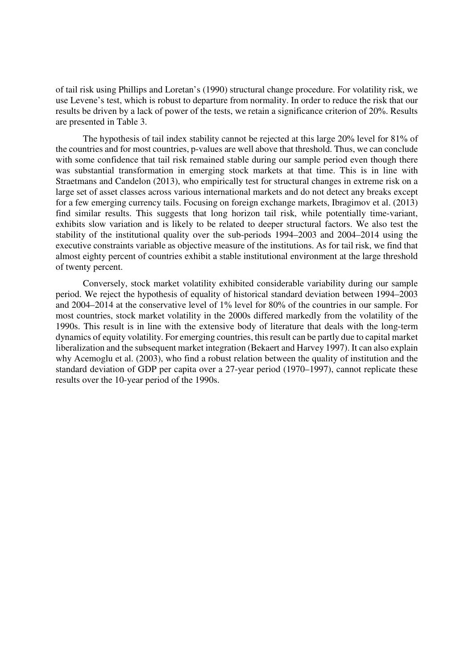of tail risk using Phillips and Loretan's (1990) structural change procedure. For volatility risk, we use Levene's test, which is robust to departure from normality. In order to reduce the risk that our results be driven by a lack of power of the tests, we retain a significance criterion of 20%. Results are presented in Table 3.

The hypothesis of tail index stability cannot be rejected at this large 20% level for 81% of the countries and for most countries, p-values are well above that threshold. Thus, we can conclude with some confidence that tail risk remained stable during our sample period even though there was substantial transformation in emerging stock markets at that time. This is in line with Straetmans and Candelon (2013), who empirically test for structural changes in extreme risk on a large set of asset classes across various international markets and do not detect any breaks except for a few emerging currency tails. Focusing on foreign exchange markets, Ibragimov et al. (2013) find similar results. This suggests that long horizon tail risk, while potentially time-variant, exhibits slow variation and is likely to be related to deeper structural factors. We also test the stability of the institutional quality over the sub-periods 1994–2003 and 2004–2014 using the executive constraints variable as objective measure of the institutions. As for tail risk, we find that almost eighty percent of countries exhibit a stable institutional environment at the large threshold of twenty percent.

Conversely, stock market volatility exhibited considerable variability during our sample period. We reject the hypothesis of equality of historical standard deviation between 1994–2003 and 2004–2014 at the conservative level of 1% level for 80% of the countries in our sample. For most countries, stock market volatility in the 2000s differed markedly from the volatility of the 1990s. This result is in line with the extensive body of literature that deals with the long-term dynamics of equity volatility. For emerging countries, this result can be partly due to capital market liberalization and the subsequent market integration (Bekaert and Harvey 1997). It can also explain why Acemoglu et al. (2003), who find a robust relation between the quality of institution and the standard deviation of GDP per capita over a 27-year period (1970–1997), cannot replicate these results over the 10-year period of the 1990s.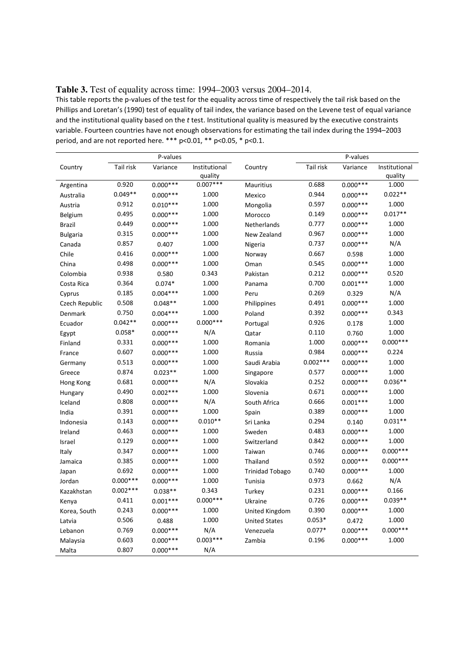This table reports the p-values of the test for the equality across time of respectively the tail risk based on the Phillips and Loretan's (1990) test of equality of tail index, the variance based on the Levene test of equal variance and the institutional quality based on the *t* test. Institutional quality is measured by the executive constraints variable. Fourteen countries have not enough observations for estimating the tail index during the 1994–2003 period, and are not reported here. \*\*\* p<0.01, \*\* p<0.05, \* p<0.1.

|                 | P-values   |             |               | P-values               |            |             |               |
|-----------------|------------|-------------|---------------|------------------------|------------|-------------|---------------|
| Country         | Tail risk  | Variance    | Institutional | Country                | Tail risk  | Variance    | Institutional |
|                 |            |             | quality       |                        |            |             | quality       |
| Argentina       | 0.920      | $0.000***$  | $0.007***$    | Mauritius              | 0.688      | $0.000***$  | 1.000         |
| Australia       | $0.049**$  | $0.000***$  | 1.000         | Mexico                 | 0.944      | $0.000***$  | $0.022**$     |
| Austria         | 0.912      | $0.010***$  | 1.000         | Mongolia               | 0.597      | $0.000***$  | 1.000         |
| Belgium         | 0.495      | $0.000***$  | 1.000         | Morocco                | 0.149      | $0.000***$  | $0.017**$     |
| <b>Brazil</b>   | 0.449      | $0.000***$  | 1.000         | Netherlands            | 0.777      | $0.000***$  | 1.000         |
| <b>Bulgaria</b> | 0.315      | $0.000***$  | 1.000         | New Zealand            | 0.967      | $0.000***$  | 1.000         |
| Canada          | 0.857      | 0.407       | 1.000         | Nigeria                | 0.737      | $0.000***$  | N/A           |
| Chile           | 0.416      | $0.000***$  | 1.000         | Norway                 | 0.667      | 0.598       | 1.000         |
| China           | 0.498      | $0.000***$  | 1.000         | Oman                   | 0.545      | $0.000***$  | 1.000         |
| Colombia        | 0.938      | 0.580       | 0.343         | Pakistan               | 0.212      | $0.000***$  | 0.520         |
| Costa Rica      | 0.364      | $0.074*$    | 1.000         | Panama                 | 0.700      | $0.001***$  | 1.000         |
| Cyprus          | 0.185      | $0.004***$  | 1.000         | Peru                   | 0.269      | 0.329       | N/A           |
| Czech Republic  | 0.508      | $0.048**$   | 1.000         | Philippines            | 0.491      | $0.000***$  | 1.000         |
| Denmark         | 0.750      | $0.004***$  | 1.000         | Poland                 | 0.392      | $0.000***$  | 0.343         |
| Ecuador         | $0.042**$  | $0.000***$  | $0.000***$    | Portugal               | 0.926      | 0.178       | 1.000         |
| Egypt           | $0.058*$   | $0.000***$  | N/A           | Qatar                  | 0.110      | 0.760       | 1.000         |
| Finland         | 0.331      | $0.000***$  | 1.000         | Romania                | 1.000      | $0.000***$  | $0.000***$    |
| France          | 0.607      | $0.000***$  | 1.000         | Russia                 | 0.984      | $0.000***$  | 0.224         |
| Germany         | 0.513      | $0.000***$  | 1.000         | Saudi Arabia           | $0.002***$ | $0.000***$  | 1.000         |
| Greece          | 0.874      | $0.023**$   | 1.000         | Singapore              | 0.577      | $0.000***$  | 1.000         |
| Hong Kong       | 0.681      | $0.000***$  | N/A           | Slovakia               | 0.252      | $0.000***$  | $0.036**$     |
| Hungary         | 0.490      | $0.002***$  | 1.000         | Slovenia               | 0.671      | $0.000***$  | 1.000         |
| Iceland         | 0.808      | $0.000***$  | N/A           | South Africa           | 0.666      | $0.001***$  | 1.000         |
| India           | 0.391      | $0.000***$  | 1.000         | Spain                  | 0.389      | $0.000***$  | 1.000         |
| Indonesia       | 0.143      | $0.000***$  | $0.010**$     | Sri Lanka              | 0.294      | 0.140       | $0.031**$     |
| Ireland         | 0.463      | $0.000***$  | 1.000         | Sweden                 | 0.483      | $0.000$ *** | 1.000         |
| Israel          | 0.129      | $0.000***$  | 1.000         | Switzerland            | 0.842      | $0.000***$  | 1.000         |
| Italy           | 0.347      | $0.000***$  | 1.000         | Taiwan                 | 0.746      | $0.000***$  | $0.000***$    |
| Jamaica         | 0.385      | $0.000***$  | 1.000         | Thailand               | 0.592      | $0.000***$  | $0.000***$    |
| Japan           | 0.692      | $0.000$ *** | 1.000         | <b>Trinidad Tobago</b> | 0.740      | $0.000***$  | 1.000         |
| Jordan          | $0.000***$ | $0.000***$  | 1.000         | Tunisia                | 0.973      | 0.662       | N/A           |
| Kazakhstan      | $0.002***$ | $0.038**$   | 0.343         | Turkey                 | 0.231      | $0.000***$  | 0.166         |
| Kenya           | 0.411      | $0.001***$  | $0.000***$    | Ukraine                | 0.726      | $0.000***$  | $0.039**$     |
| Korea, South    | 0.243      | $0.000***$  | 1.000         | United Kingdom         | 0.390      | $0.000***$  | 1.000         |
| Latvia          | 0.506      | 0.488       | 1.000         | <b>United States</b>   | $0.053*$   | 0.472       | 1.000         |
| Lebanon         | 0.769      | $0.000***$  | N/A           | Venezuela              | $0.077*$   | $0.000***$  | $0.000***$    |
| Malaysia        | 0.603      | $0.000***$  | $0.003***$    | Zambia                 | 0.196      | $0.000***$  | 1.000         |
| Malta           | 0.807      | $0.000***$  | N/A           |                        |            |             |               |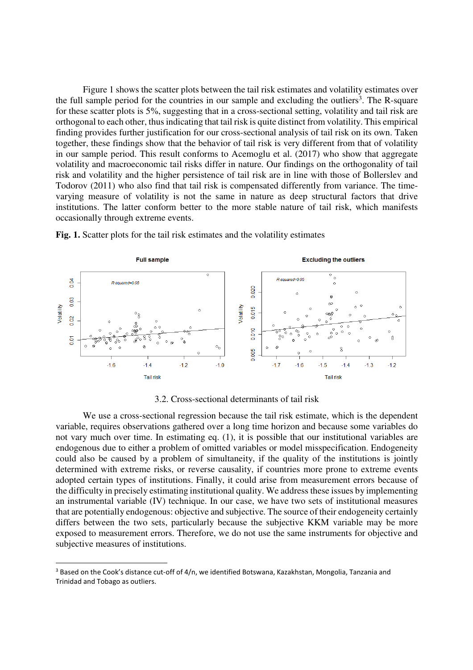Figure 1 shows the scatter plots between the tail risk estimates and volatility estimates over the full sample period for the countries in our sample and excluding the outliers<sup>3</sup>. The R-square for these scatter plots is 5%, suggesting that in a cross-sectional setting, volatility and tail risk are orthogonal to each other, thus indicating that tail risk is quite distinct from volatility. This empirical finding provides further justification for our cross-sectional analysis of tail risk on its own. Taken together, these findings show that the behavior of tail risk is very different from that of volatility in our sample period. This result conforms to Acemoglu et al. (2017) who show that aggregate volatility and macroeconomic tail risks differ in nature. Our findings on the orthogonality of tail risk and volatility and the higher persistence of tail risk are in line with those of Bollerslev and Todorov (2011) who also find that tail risk is compensated differently from variance. The timevarying measure of volatility is not the same in nature as deep structural factors that drive institutions. The latter conform better to the more stable nature of tail risk, which manifests occasionally through extreme events.



**Fig. 1.** Scatter plots for the tail risk estimates and the volatility estimates

3.2. Cross-sectional determinants of tail risk

We use a cross-sectional regression because the tail risk estimate, which is the dependent variable, requires observations gathered over a long time horizon and because some variables do not vary much over time. In estimating eq. (1), it is possible that our institutional variables are endogenous due to either a problem of omitted variables or model misspecification. Endogeneity could also be caused by a problem of simultaneity, if the quality of the institutions is jointly determined with extreme risks, or reverse causality, if countries more prone to extreme events adopted certain types of institutions. Finally, it could arise from measurement errors because of the difficulty in precisely estimating institutional quality. We address these issues by implementing an instrumental variable (IV) technique. In our case, we have two sets of institutional measures that are potentially endogenous: objective and subjective. The source of their endogeneity certainly differs between the two sets, particularly because the subjective KKM variable may be more exposed to measurement errors. Therefore, we do not use the same instruments for objective and subjective measures of institutions.

.<br>-

<sup>&</sup>lt;sup>3</sup> Based on the Cook's distance cut-off of 4/n, we identified Botswana, Kazakhstan, Mongolia, Tanzania and Trinidad and Tobago as outliers.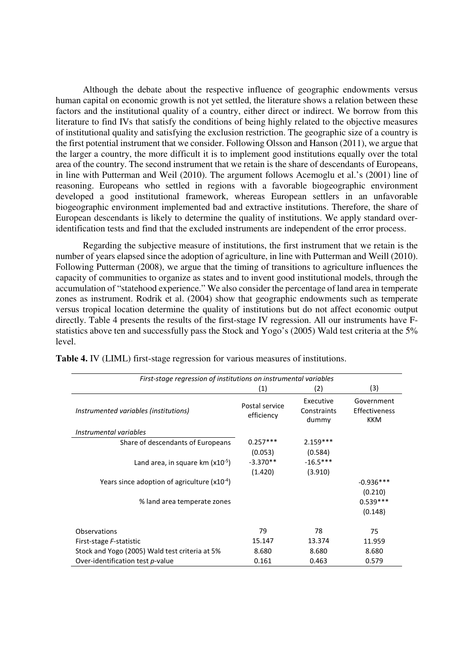Although the debate about the respective influence of geographic endowments versus human capital on economic growth is not yet settled, the literature shows a relation between these factors and the institutional quality of a country, either direct or indirect. We borrow from this literature to find IVs that satisfy the conditions of being highly related to the objective measures of institutional quality and satisfying the exclusion restriction. The geographic size of a country is the first potential instrument that we consider. Following Olsson and Hanson (2011), we argue that the larger a country, the more difficult it is to implement good institutions equally over the total area of the country. The second instrument that we retain is the share of descendants of Europeans, in line with Putterman and Weil (2010). The argument follows Acemoglu et al.'s (2001) line of reasoning. Europeans who settled in regions with a favorable biogeographic environment developed a good institutional framework, whereas European settlers in an unfavorable biogeographic environment implemented bad and extractive institutions. Therefore, the share of European descendants is likely to determine the quality of institutions. We apply standard overidentification tests and find that the excluded instruments are independent of the error process.

Regarding the subjective measure of institutions, the first instrument that we retain is the number of years elapsed since the adoption of agriculture, in line with Putterman and Weill (2010). Following Putterman (2008), we argue that the timing of transitions to agriculture influences the capacity of communities to organize as states and to invent good institutional models, through the accumulation of "statehood experience." We also consider the percentage of land area in temperate zones as instrument. Rodrik et al. (2004) show that geographic endowments such as temperate versus tropical location determine the quality of institutions but do not affect economic output directly. Table 4 presents the results of the first-stage IV regression. All our instruments have Fstatistics above ten and successfully pass the Stock and Yogo's (2005) Wald test criteria at the 5% level.

| First-stage regression of institutions on instrumental variables |                              |                                   |                                           |  |  |  |  |  |
|------------------------------------------------------------------|------------------------------|-----------------------------------|-------------------------------------------|--|--|--|--|--|
|                                                                  | (2)                          | (3)                               |                                           |  |  |  |  |  |
| Instrumented variables (institutions)                            | Postal service<br>efficiency | Executive<br>Constraints<br>dummy | Government<br>Effectiveness<br><b>KKM</b> |  |  |  |  |  |
| Instrumental variables                                           |                              |                                   |                                           |  |  |  |  |  |
| Share of descendants of Europeans                                | $0.257***$                   | $2.159***$                        |                                           |  |  |  |  |  |
|                                                                  | (0.053)                      | (0.584)                           |                                           |  |  |  |  |  |
| Land area, in square $km (x10^{-5})$                             | $-3.370**$                   | $-16.5***$                        |                                           |  |  |  |  |  |
|                                                                  | (1.420)                      | (3.910)                           |                                           |  |  |  |  |  |
| Years since adoption of agriculture $(x10^{-4})$                 |                              |                                   | $-0.936***$                               |  |  |  |  |  |
|                                                                  |                              |                                   | (0.210)                                   |  |  |  |  |  |
| % land area temperate zones                                      |                              |                                   | $0.539***$                                |  |  |  |  |  |
|                                                                  |                              |                                   | (0.148)                                   |  |  |  |  |  |
| Observations                                                     | 79                           | 78                                | 75                                        |  |  |  |  |  |
| First-stage F-statistic                                          | 15.147                       | 13.374                            | 11.959                                    |  |  |  |  |  |
| Stock and Yogo (2005) Wald test criteria at 5%                   | 8.680                        | 8.680                             | 8.680                                     |  |  |  |  |  |
| Over-identification test p-value                                 | 0.161                        | 0.463                             | 0.579                                     |  |  |  |  |  |

**Table 4.** IV (LIML) first-stage regression for various measures of institutions.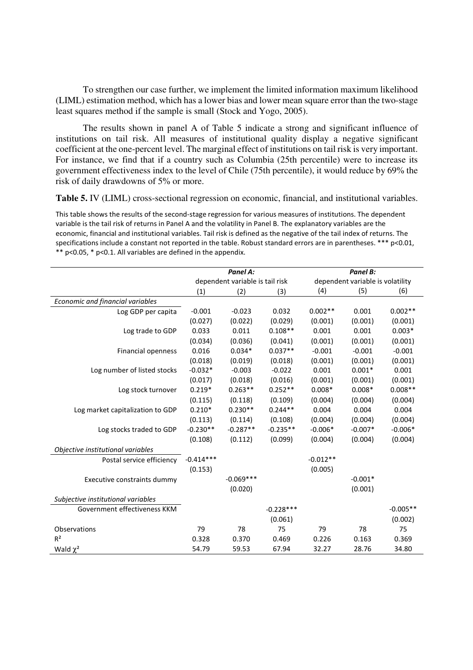To strengthen our case further, we implement the limited information maximum likelihood (LIML) estimation method, which has a lower bias and lower mean square error than the two-stage least squares method if the sample is small (Stock and Yogo, 2005).

The results shown in panel A of Table 5 indicate a strong and significant influence of institutions on tail risk. All measures of institutional quality display a negative significant coefficient at the one-percent level. The marginal effect of institutions on tail risk is very important. For instance, we find that if a country such as Columbia (25th percentile) were to increase its government effectiveness index to the level of Chile (75th percentile), it would reduce by 69% the risk of daily drawdowns of 5% or more.

**Table 5.** IV (LIML) cross-sectional regression on economic, financial, and institutional variables.

This table shows the results of the second-stage regression for various measures of institutions. The dependent variable is the tail risk of returns in Panel A and the volatility in Panel B. The explanatory variables are the economic, financial and institutional variables. Tail risk is defined as the negative of the tail index of returns. The specifications include a constant not reported in the table. Robust standard errors are in parentheses. \*\*\* p<0.01, \*\* p<0.05, \* p<0.1. All variables are defined in the appendix.

|                                    |                                 | Panel A:    |             | Panel B:   |                                  |            |  |
|------------------------------------|---------------------------------|-------------|-------------|------------|----------------------------------|------------|--|
|                                    | dependent variable is tail risk |             |             |            | dependent variable is volatility |            |  |
|                                    | (1)                             | (2)         | (3)         | (4)        | (5)                              | (6)        |  |
| Economic and financial variables   |                                 |             |             |            |                                  |            |  |
| Log GDP per capita                 | $-0.001$                        | $-0.023$    | 0.032       | $0.002**$  | 0.001                            | $0.002**$  |  |
|                                    | (0.027)                         | (0.022)     | (0.029)     | (0.001)    | (0.001)                          | (0.001)    |  |
| Log trade to GDP                   | 0.033                           | 0.011       | $0.108**$   | 0.001      | 0.001                            | $0.003*$   |  |
|                                    | (0.034)                         | (0.036)     | (0.041)     | (0.001)    | (0.001)                          | (0.001)    |  |
| Financial openness                 | 0.016                           | $0.034*$    | $0.037**$   | $-0.001$   | $-0.001$                         | $-0.001$   |  |
|                                    | (0.018)                         | (0.019)     | (0.018)     | (0.001)    | (0.001)                          | (0.001)    |  |
| Log number of listed stocks        | $-0.032*$                       | $-0.003$    | $-0.022$    | 0.001      | $0.001*$                         | 0.001      |  |
|                                    | (0.017)                         | (0.018)     | (0.016)     | (0.001)    | (0.001)                          | (0.001)    |  |
| Log stock turnover                 | $0.219*$                        | $0.263**$   | $0.252**$   | $0.008*$   | $0.008*$                         | $0.008**$  |  |
|                                    | (0.115)                         | (0.118)     | (0.109)     | (0.004)    | (0.004)                          | (0.004)    |  |
| Log market capitalization to GDP   | $0.210*$                        | $0.230**$   | $0.244**$   | 0.004      | 0.004                            | 0.004      |  |
|                                    | (0.113)                         | (0.114)     | (0.108)     | (0.004)    | (0.004)                          | (0.004)    |  |
| Log stocks traded to GDP           | $-0.230**$                      | $-0.287**$  | $-0.235**$  | $-0.006*$  | $-0.007*$                        | $-0.006*$  |  |
|                                    | (0.108)                         | (0.112)     | (0.099)     | (0.004)    | (0.004)                          | (0.004)    |  |
| Objective institutional variables  |                                 |             |             |            |                                  |            |  |
| Postal service efficiency          | $-0.414***$                     |             |             | $-0.012**$ |                                  |            |  |
|                                    | (0.153)                         |             |             | (0.005)    |                                  |            |  |
| Executive constraints dummy        |                                 | $-0.069***$ |             |            | $-0.001*$                        |            |  |
|                                    |                                 | (0.020)     |             |            | (0.001)                          |            |  |
| Subjective institutional variables |                                 |             |             |            |                                  |            |  |
| Government effectiveness KKM       |                                 |             | $-0.228***$ |            |                                  | $-0.005**$ |  |
|                                    |                                 |             | (0.061)     |            |                                  | (0.002)    |  |
| Observations                       | 79                              | 78          | 75          | 79         | 78                               | 75         |  |
| $R^2$                              | 0.328                           | 0.370       | 0.469       | 0.226      | 0.163                            | 0.369      |  |
| Wald $\chi^2$                      | 54.79                           | 59.53       | 67.94       | 32.27      | 28.76                            | 34.80      |  |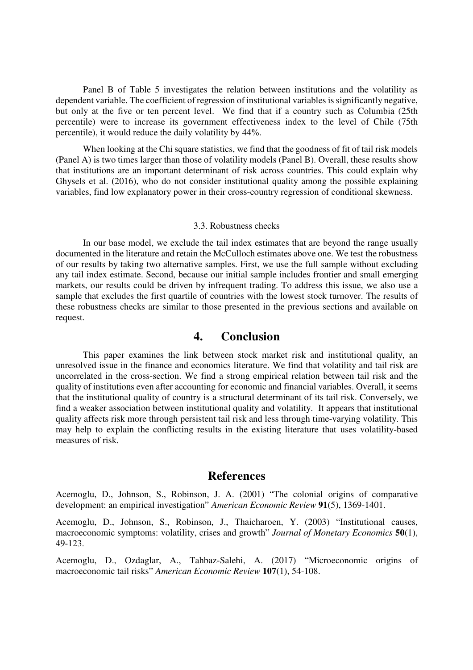Panel B of Table 5 investigates the relation between institutions and the volatility as dependent variable. The coefficient of regression of institutional variables is significantly negative, but only at the five or ten percent level. We find that if a country such as Columbia (25th percentile) were to increase its government effectiveness index to the level of Chile (75th percentile), it would reduce the daily volatility by 44%.

When looking at the Chi square statistics, we find that the goodness of fit of tail risk models (Panel A) is two times larger than those of volatility models (Panel B). Overall, these results show that institutions are an important determinant of risk across countries. This could explain why Ghysels et al. (2016), who do not consider institutional quality among the possible explaining variables, find low explanatory power in their cross-country regression of conditional skewness.

#### 3.3. Robustness checks

In our base model, we exclude the tail index estimates that are beyond the range usually documented in the literature and retain the McCulloch estimates above one. We test the robustness of our results by taking two alternative samples. First, we use the full sample without excluding any tail index estimate. Second, because our initial sample includes frontier and small emerging markets, our results could be driven by infrequent trading. To address this issue, we also use a sample that excludes the first quartile of countries with the lowest stock turnover. The results of these robustness checks are similar to those presented in the previous sections and available on request.

### **4. Conclusion**

This paper examines the link between stock market risk and institutional quality, an unresolved issue in the finance and economics literature. We find that volatility and tail risk are uncorrelated in the cross-section. We find a strong empirical relation between tail risk and the quality of institutions even after accounting for economic and financial variables. Overall, it seems that the institutional quality of country is a structural determinant of its tail risk. Conversely, we find a weaker association between institutional quality and volatility. It appears that institutional quality affects risk more through persistent tail risk and less through time-varying volatility. This may help to explain the conflicting results in the existing literature that uses volatility-based measures of risk.

#### **References**

Acemoglu, D., Johnson, S., Robinson, J. A. (2001) "The colonial origins of comparative development: an empirical investigation" *American Economic Review* **91**(5), 1369-1401.

Acemoglu, D., Johnson, S., Robinson, J., Thaicharoen, Y. (2003) "Institutional causes, macroeconomic symptoms: volatility, crises and growth" *Journal of Monetary Economics* **50**(1), 49-123.

Acemoglu, D., Ozdaglar, A., Tahbaz-Salehi, A. (2017) "Microeconomic origins of macroeconomic tail risks" *American Economic Review* **107**(1), 54-108.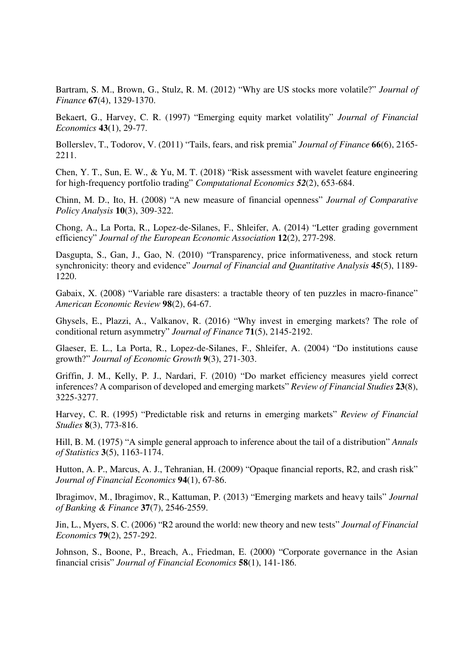Bartram, S. M., Brown, G., Stulz, R. M. (2012) "Why are US stocks more volatile?" *Journal of Finance* **67**(4), 1329-1370.

Bekaert, G., Harvey, C. R. (1997) "Emerging equity market volatility" *Journal of Financial Economics* **43**(1), 29-77.

Bollerslev, T., Todorov, V. (2011) "Tails, fears, and risk premia" *Journal of Finance* **66**(6), 2165- 2211.

Chen, Y. T., Sun, E. W., & Yu, M. T. (2018) "Risk assessment with wavelet feature engineering for high-frequency portfolio trading" *Computational Economics 52*(2), 653-684.

Chinn, M. D., Ito, H. (2008) "A new measure of financial openness" *Journal of Comparative Policy Analysis* **10**(3), 309-322.

Chong, A., La Porta, R., Lopez-de-Silanes, F., Shleifer, A. (2014) "Letter grading government efficiency" *Journal of the European Economic Association* **12**(2), 277-298.

Dasgupta, S., Gan, J., Gao, N. (2010) "Transparency, price informativeness, and stock return synchronicity: theory and evidence" *Journal of Financial and Quantitative Analysis* **45**(5), 1189- 1220.

Gabaix, X. (2008) "Variable rare disasters: a tractable theory of ten puzzles in macro-finance" *American Economic Review* **98**(2), 64-67.

Ghysels, E., Plazzi, A., Valkanov, R. (2016) "Why invest in emerging markets? The role of conditional return asymmetry" *Journal of Finance* **71**(5), 2145-2192.

Glaeser, E. L., La Porta, R., Lopez-de-Silanes, F., Shleifer, A. (2004) "Do institutions cause growth?" *Journal of Economic Growth* **9**(3), 271-303.

Griffin, J. M., Kelly, P. J., Nardari, F. (2010) "Do market efficiency measures yield correct inferences? A comparison of developed and emerging markets" *Review of Financial Studies* **23**(8), 3225-3277.

Harvey, C. R. (1995) "Predictable risk and returns in emerging markets" *Review of Financial Studies* **8**(3), 773-816.

Hill, B. M. (1975) "A simple general approach to inference about the tail of a distribution" *Annals of Statistics* **3**(5), 1163-1174.

Hutton, A. P., Marcus, A. J., Tehranian, H. (2009) "Opaque financial reports, R2, and crash risk" *Journal of Financial Economics* **94**(1), 67-86.

Ibragimov, M., Ibragimov, R., Kattuman, P. (2013) "Emerging markets and heavy tails" *Journal of Banking & Finance* **37**(7), 2546-2559.

Jin, L., Myers, S. C. (2006) "R2 around the world: new theory and new tests" *Journal of Financial Economics* **79**(2), 257-292.

Johnson, S., Boone, P., Breach, A., Friedman, E. (2000) "Corporate governance in the Asian financial crisis" *Journal of Financial Economics* **58**(1), 141-186.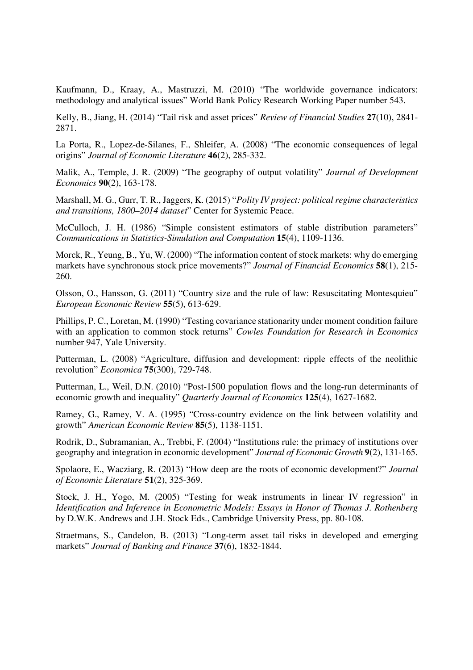Kaufmann, D., Kraay, A., Mastruzzi, M. (2010) "The worldwide governance indicators: methodology and analytical issues" World Bank Policy Research Working Paper number 543.

Kelly, B., Jiang, H. (2014) "Tail risk and asset prices" *Review of Financial Studies* **27**(10), 2841- 2871.

La Porta, R., Lopez-de-Silanes, F., Shleifer, A. (2008) "The economic consequences of legal origins" *Journal of Economic Literature* **46**(2), 285-332.

Malik, A., Temple, J. R. (2009) "The geography of output volatility" *Journal of Development Economics* **90**(2), 163-178.

Marshall, M. G., Gurr, T. R., Jaggers, K. (2015) "*Polity IV project: political regime characteristics and transitions, 1800–2014 dataset*" Center for Systemic Peace.

McCulloch, J. H. (1986) "Simple consistent estimators of stable distribution parameters" *Communications in Statistics-Simulation and Computation* **15**(4), 1109-1136.

Morck, R., Yeung, B., Yu, W. (2000) "The information content of stock markets: why do emerging markets have synchronous stock price movements?" *Journal of Financial Economics* **58**(1), 215- 260.

Olsson, O., Hansson, G. (2011) "Country size and the rule of law: Resuscitating Montesquieu" *European Economic Review* **55**(5), 613-629.

Phillips, P. C., Loretan, M. (1990) "Testing covariance stationarity under moment condition failure with an application to common stock returns" *Cowles Foundation for Research in Economics*  number 947, Yale University.

Putterman, L. (2008) "Agriculture, diffusion and development: ripple effects of the neolithic revolution" *Economica* **75**(300), 729-748.

Putterman, L., Weil, D.N. (2010) "Post-1500 population flows and the long-run determinants of economic growth and inequality" *Quarterly Journal of Economics* **125**(4), 1627-1682.

Ramey, G., Ramey, V. A. (1995) "Cross-country evidence on the link between volatility and growth" *American Economic Review* **85**(5), 1138-1151.

Rodrik, D., Subramanian, A., Trebbi, F. (2004) "Institutions rule: the primacy of institutions over geography and integration in economic development" *Journal of Economic Growth* **9**(2), 131-165.

Spolaore, E., Wacziarg, R. (2013) "How deep are the roots of economic development?" *Journal of Economic Literature* **51**(2), 325-369.

Stock, J. H., Yogo, M. (2005) "Testing for weak instruments in linear IV regression" in *Identification and Inference in Econometric Models: Essays in Honor of Thomas J. Rothenberg* by D.W.K. Andrews and J.H. Stock Eds., Cambridge University Press, pp. 80-108.

Straetmans, S., Candelon, B. (2013) "Long-term asset tail risks in developed and emerging markets" *Journal of Banking and Finance* **37**(6), 1832-1844.